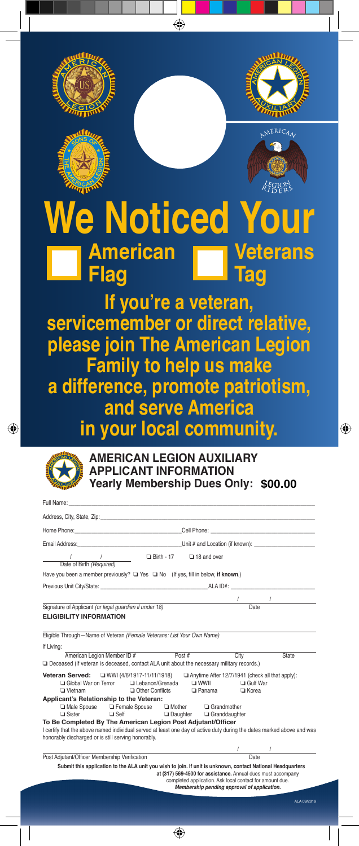



⊕





## **Noticed Y American Flag Veterans Tag**

⊕

**If you're a veteran, servicemember or direct relative, please join The American Legion Family to help us make a difference, promote patriotism, and serve America in your local community.**



| Full Name:                                                                                                                                                                    |                                                                                                                                                                         |                                   |              |
|-------------------------------------------------------------------------------------------------------------------------------------------------------------------------------|-------------------------------------------------------------------------------------------------------------------------------------------------------------------------|-----------------------------------|--------------|
|                                                                                                                                                                               |                                                                                                                                                                         |                                   |              |
|                                                                                                                                                                               |                                                                                                                                                                         |                                   |              |
|                                                                                                                                                                               |                                                                                                                                                                         |                                   |              |
| / / / Date of Birth (Required) □ Birth - 17 □ 18 and over                                                                                                                     |                                                                                                                                                                         |                                   |              |
| Have you been a member previously? $\Box$ Yes $\Box$ No (If yes, fill in below, if known.)                                                                                    |                                                                                                                                                                         |                                   |              |
| Previous Unit City/State: The Contract of the Contract ALA ID#:                                                                                                               |                                                                                                                                                                         |                                   |              |
|                                                                                                                                                                               |                                                                                                                                                                         | $\frac{1}{\sqrt{1-\frac{1}{2}}}\$ |              |
| Signature of Applicant (or legal guardian if under 18)                                                                                                                        |                                                                                                                                                                         |                                   |              |
| <b>ELIGIBILITY INFORMATION</b>                                                                                                                                                |                                                                                                                                                                         |                                   |              |
| Eligible Through-Name of Veteran (Female Veterans: List Your Own Name)                                                                                                        |                                                                                                                                                                         |                                   |              |
| If Livina:                                                                                                                                                                    |                                                                                                                                                                         |                                   |              |
| American Legion Member ID #                                                                                                                                                   | Post#<br>City                                                                                                                                                           |                                   | <b>State</b> |
| Deceased (If veteran is deceased, contact ALA unit about the necessary military records.)                                                                                     |                                                                                                                                                                         |                                   |              |
| □ WWI (4/6/1917-11/11/1918)<br>Veteran Served:                                                                                                                                | Anytime After 12/7/1941 (check all that apply):                                                                                                                         |                                   |              |
| Lebanon/Grenada<br>Global War on Terror                                                                                                                                       | $\square$ WWIL                                                                                                                                                          | <b>Gulf War</b>                   |              |
| $\Box$ Vietnam<br>Other Conflicts                                                                                                                                             | $\Box$ Panama                                                                                                                                                           | □ Korea                           |              |
| Applicant's Relationship to the Veteran:<br>□ Male Spouse □ Female Spouse □ Mother □ Grandmother                                                                              |                                                                                                                                                                         |                                   |              |
| □ Sister<br>$\Box$ Self                                                                                                                                                       | <b>Daughter</b><br>Granddaughter                                                                                                                                        |                                   |              |
| To Be Completed By The American Legion Post Adjutant/Officer                                                                                                                  |                                                                                                                                                                         |                                   |              |
| I certify that the above named individual served at least one day of active duty during the dates marked above and was<br>honorably discharged or is still serving honorably. |                                                                                                                                                                         |                                   |              |
|                                                                                                                                                                               |                                                                                                                                                                         |                                   |              |
| Post Adjutant/Officer Membership Verification                                                                                                                                 |                                                                                                                                                                         | $\frac{1}{\sqrt{1-\pi}}$          |              |
| Submit this application to the ALA unit you wish to join. If unit is unknown, contact National Headquarters                                                                   | at (317) 569-4500 for assistance. Annual dues must accompany<br>completed application. Ask local contact for amount due.<br>Membership pending approval of application. |                                   |              |
|                                                                                                                                                                               |                                                                                                                                                                         |                                   | ALA 09/2019  |

⊕